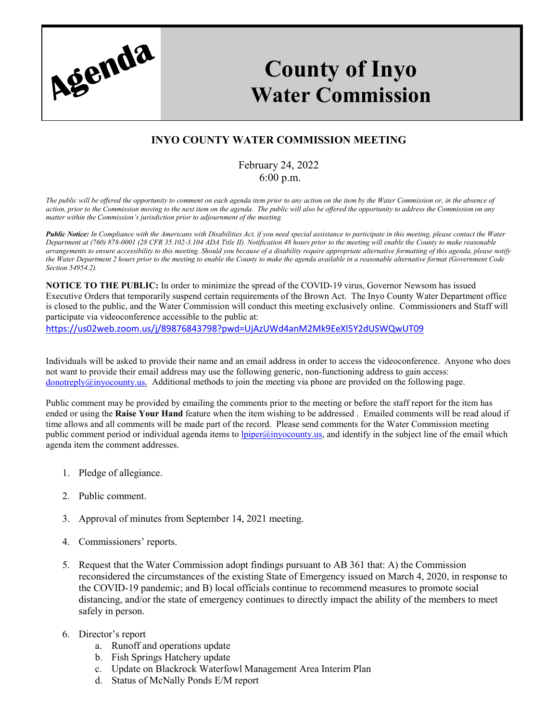

## **County of Inyo Water Commission**

## **INYO COUNTY WATER COMMISSION MEETING**

## February 24, 2022 6:00 p.m.

*The public will be offered the opportunity to comment on each agenda item prior to any action on the item by the Water Commission or, in the absence of action, prior to the Commission moving to the next item on the agenda. The public will also be offered the opportunity to address the Commission on any matter within the Commission's jurisdiction prior to adjournment of the meeting.*

*Public Notice: In Compliance with the Americans with Disabilities Act, if you need special assistance to participate in this meeting, please contact the Water Department at (760) 878-0001 (28 CFR 35.102-3.104 ADA Title II). Notification 48 hours prior to the meeting will enable the County to make reasonable arrangements to ensure accessibility to this meeting. Should you because of a disability require appropriate alternative formatting of this agenda, please notify the Water Department 2 hours prior to the meeting to enable the County to make the agenda available in a reasonable alternative format (Government Code Section 54954.2).*

**NOTICE TO THE PUBLIC:** In order to minimize the spread of the COVID-19 virus, Governor Newsom has issued Executive Orders that temporarily suspend certain requirements of the Brown Act. The Inyo County Water Department office is closed to the public, and the Water Commission will conduct this meeting exclusively online. Commissioners and Staff will participate via videoconference accessible to the public at:

<https://us02web.zoom.us/j/89876843798?pwd=UjAzUWd4anM2Mk9EeXl5Y2dUSWQwUT09>

Individuals will be asked to provide their name and an email address in order to access the videoconference. Anyone who does not want to provide their email address may use the following generic, non-functioning address to gain access: donotreply $@inyocouty.$ us. Additional methods to join the meeting via phone are provided on the following page.

Public comment may be provided by emailing the comments prior to the meeting or before the staff report for the item has ended or using the **Raise Your Hand** feature when the item wishing to be addressed . Emailed comments will be read aloud if time allows and all comments will be made part of the record. Please send comments for the Water Commission meeting public comment period or individual agenda items to *lpiper@inyocounty.us*, and identify in the subject line of the email which agenda item the comment addresses.

- 1. Pledge of allegiance.
- 2. Public comment.
- 3. Approval of minutes from September 14, 2021 meeting.
- 4. Commissioners' reports.
- 5. Request that the Water Commission adopt findings pursuant to AB 361 that: A) the Commission reconsidered the circumstances of the existing State of Emergency issued on March 4, 2020, in response to the COVID-19 pandemic; and B) local officials continue to recommend measures to promote social distancing, and/or the state of emergency continues to directly impact the ability of the members to meet safely in person.
- 6. Director's report
	- a. Runoff and operations update
	- b. Fish Springs Hatchery update
	- c. Update on Blackrock Waterfowl Management Area Interim Plan
	- d. Status of McNally Ponds E/M report